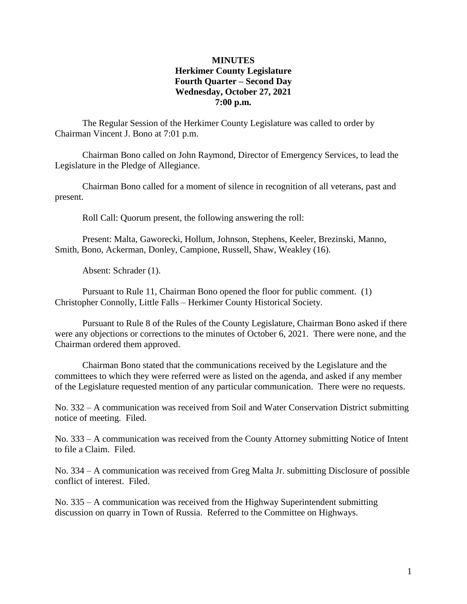### **MINUTES Herkimer County Legislature Fourth Quarter – Second Day Wednesday, October 27, 2021 7:00 p.m.**

The Regular Session of the Herkimer County Legislature was called to order by Chairman Vincent J. Bono at 7:01 p.m.

Chairman Bono called on John Raymond, Director of Emergency Services, to lead the Legislature in the Pledge of Allegiance.

Chairman Bono called for a moment of silence in recognition of all veterans, past and present.

Roll Call: Quorum present, the following answering the roll:

Present: Malta, Gaworecki, Hollum, Johnson, Stephens, Keeler, Brezinski, Manno, Smith, Bono, Ackerman, Donley, Campione, Russell, Shaw, Weakley (16).

Absent: Schrader (1).

Pursuant to Rule 11, Chairman Bono opened the floor for public comment. (1) Christopher Connolly, Little Falls – Herkimer County Historical Society.

Pursuant to Rule 8 of the Rules of the County Legislature, Chairman Bono asked if there were any objections or corrections to the minutes of October 6, 2021. There were none, and the Chairman ordered them approved.

Chairman Bono stated that the communications received by the Legislature and the committees to which they were referred were as listed on the agenda, and asked if any member of the Legislature requested mention of any particular communication. There were no requests.

No. 332 – A communication was received from Soil and Water Conservation District submitting notice of meeting. Filed.

No. 333 – A communication was received from the County Attorney submitting Notice of Intent to file a Claim. Filed.

No. 334 – A communication was received from Greg Malta Jr. submitting Disclosure of possible conflict of interest. Filed.

No. 335 – A communication was received from the Highway Superintendent submitting discussion on quarry in Town of Russia. Referred to the Committee on Highways.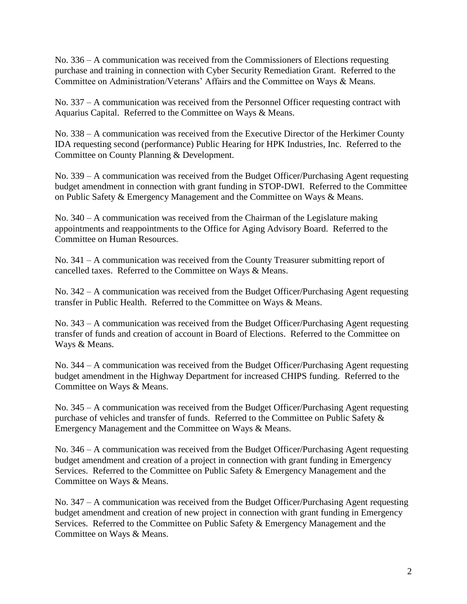No. 336 – A communication was received from the Commissioners of Elections requesting purchase and training in connection with Cyber Security Remediation Grant. Referred to the Committee on Administration/Veterans' Affairs and the Committee on Ways & Means.

No. 337 – A communication was received from the Personnel Officer requesting contract with Aquarius Capital. Referred to the Committee on Ways & Means.

No. 338 – A communication was received from the Executive Director of the Herkimer County IDA requesting second (performance) Public Hearing for HPK Industries, Inc. Referred to the Committee on County Planning & Development.

No. 339 – A communication was received from the Budget Officer/Purchasing Agent requesting budget amendment in connection with grant funding in STOP-DWI. Referred to the Committee on Public Safety & Emergency Management and the Committee on Ways & Means.

No. 340 – A communication was received from the Chairman of the Legislature making appointments and reappointments to the Office for Aging Advisory Board. Referred to the Committee on Human Resources.

No. 341 – A communication was received from the County Treasurer submitting report of cancelled taxes. Referred to the Committee on Ways & Means.

No. 342 – A communication was received from the Budget Officer/Purchasing Agent requesting transfer in Public Health. Referred to the Committee on Ways & Means.

No. 343 – A communication was received from the Budget Officer/Purchasing Agent requesting transfer of funds and creation of account in Board of Elections. Referred to the Committee on Ways & Means.

No. 344 – A communication was received from the Budget Officer/Purchasing Agent requesting budget amendment in the Highway Department for increased CHIPS funding. Referred to the Committee on Ways & Means.

No. 345 – A communication was received from the Budget Officer/Purchasing Agent requesting purchase of vehicles and transfer of funds. Referred to the Committee on Public Safety & Emergency Management and the Committee on Ways & Means.

No. 346 – A communication was received from the Budget Officer/Purchasing Agent requesting budget amendment and creation of a project in connection with grant funding in Emergency Services. Referred to the Committee on Public Safety & Emergency Management and the Committee on Ways & Means.

No. 347 – A communication was received from the Budget Officer/Purchasing Agent requesting budget amendment and creation of new project in connection with grant funding in Emergency Services. Referred to the Committee on Public Safety & Emergency Management and the Committee on Ways & Means.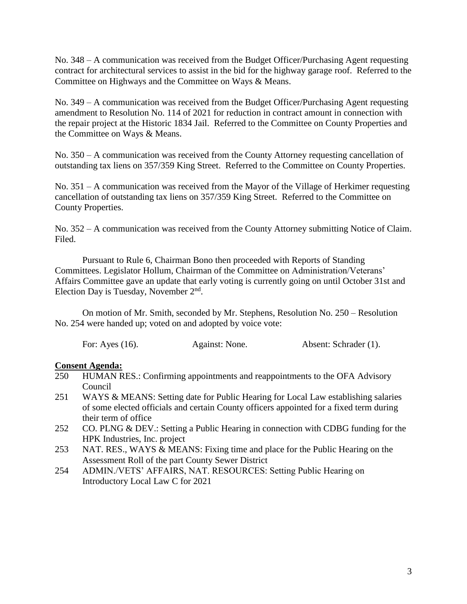No. 348 – A communication was received from the Budget Officer/Purchasing Agent requesting contract for architectural services to assist in the bid for the highway garage roof. Referred to the Committee on Highways and the Committee on Ways & Means.

No. 349 – A communication was received from the Budget Officer/Purchasing Agent requesting amendment to Resolution No. 114 of 2021 for reduction in contract amount in connection with the repair project at the Historic 1834 Jail. Referred to the Committee on County Properties and the Committee on Ways & Means.

No. 350 – A communication was received from the County Attorney requesting cancellation of outstanding tax liens on 357/359 King Street. Referred to the Committee on County Properties.

No. 351 – A communication was received from the Mayor of the Village of Herkimer requesting cancellation of outstanding tax liens on 357/359 King Street. Referred to the Committee on County Properties.

No. 352 – A communication was received from the County Attorney submitting Notice of Claim. Filed.

Pursuant to Rule 6, Chairman Bono then proceeded with Reports of Standing Committees. Legislator Hollum, Chairman of the Committee on Administration/Veterans' Affairs Committee gave an update that early voting is currently going on until October 31st and Election Day is Tuesday, November  $2<sup>nd</sup>$ .

On motion of Mr. Smith, seconded by Mr. Stephens, Resolution No. 250 – Resolution No. 254 were handed up; voted on and adopted by voice vote:

For: Ayes (16). Against: None. Absent: Schrader (1).

## **Consent Agenda:**<br>250 **HUMAN R**

- 250 HUMAN RES.: Confirming appointments and reappointments to the OFA Advisory Council
- 251 WAYS & MEANS: Setting date for Public Hearing for Local Law establishing salaries of some elected officials and certain County officers appointed for a fixed term during their term of office
- 252 CO. PLNG & DEV.: Setting a Public Hearing in connection with CDBG funding for the HPK Industries, Inc. project
- 253 NAT. RES., WAYS & MEANS: Fixing time and place for the Public Hearing on the Assessment Roll of the part County Sewer District
- 254 ADMIN./VETS' AFFAIRS, NAT. RESOURCES: Setting Public Hearing on Introductory Local Law C for 2021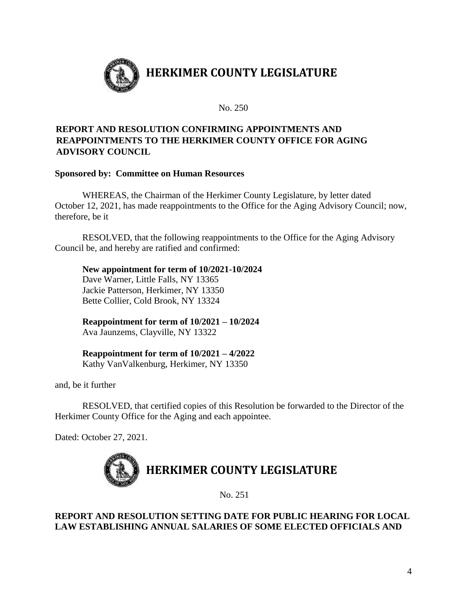

No. 250

### **REPORT AND RESOLUTION CONFIRMING APPOINTMENTS AND REAPPOINTMENTS TO THE HERKIMER COUNTY OFFICE FOR AGING ADVISORY COUNCIL**

### **Sponsored by: Committee on Human Resources**

WHEREAS, the Chairman of the Herkimer County Legislature, by letter dated October 12, 2021, has made reappointments to the Office for the Aging Advisory Council; now, therefore, be it

RESOLVED, that the following reappointments to the Office for the Aging Advisory Council be, and hereby are ratified and confirmed:

### **New appointment for term of 10/2021-10/2024**

Dave Warner, Little Falls, NY 13365 Jackie Patterson, Herkimer, NY 13350 Bette Collier, Cold Brook, NY 13324

**Reappointment for term of 10/2021 – 10/2024** Ava Jaunzems, Clayville, NY 13322

**Reappointment for term of 10/2021 – 4/2022** Kathy VanValkenburg, Herkimer, NY 13350

and, be it further

RESOLVED, that certified copies of this Resolution be forwarded to the Director of the Herkimer County Office for the Aging and each appointee.

Dated: October 27, 2021.



No. 251

### **REPORT AND RESOLUTION SETTING DATE FOR PUBLIC HEARING FOR LOCAL LAW ESTABLISHING ANNUAL SALARIES OF SOME ELECTED OFFICIALS AND**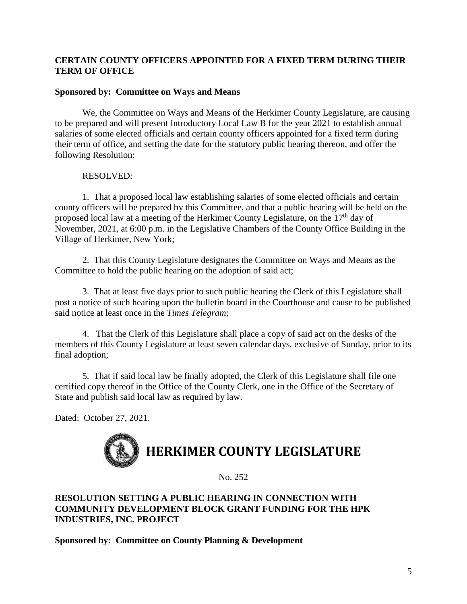### **CERTAIN COUNTY OFFICERS APPOINTED FOR A FIXED TERM DURING THEIR TERM OF OFFICE**

### **Sponsored by: Committee on Ways and Means**

We, the Committee on Ways and Means of the Herkimer County Legislature, are causing to be prepared and will present Introductory Local Law B for the year 2021 to establish annual salaries of some elected officials and certain county officers appointed for a fixed term during their term of office, and setting the date for the statutory public hearing thereon, and offer the following Resolution:

### RESOLVED:

1. That a proposed local law establishing salaries of some elected officials and certain county officers will be prepared by this Committee, and that a public hearing will be held on the proposed local law at a meeting of the Herkimer County Legislature, on the 17<sup>th</sup> day of November, 2021, at 6:00 p.m. in the Legislative Chambers of the County Office Building in the Village of Herkimer, New York;

2. That this County Legislature designates the Committee on Ways and Means as the Committee to hold the public hearing on the adoption of said act;

3. That at least five days prior to such public hearing the Clerk of this Legislature shall post a notice of such hearing upon the bulletin board in the Courthouse and cause to be published said notice at least once in the *Times Telegram*;

4. That the Clerk of this Legislature shall place a copy of said act on the desks of the members of this County Legislature at least seven calendar days, exclusive of Sunday, prior to its final adoption;

5. That if said local law be finally adopted, the Clerk of this Legislature shall file one certified copy thereof in the Office of the County Clerk, one in the Office of the Secretary of State and publish said local law as required by law.

Dated: October 27, 2021.

# **HERKIMER COUNTY LEGISLATURE**

No. 252

### **RESOLUTION SETTING A PUBLIC HEARING IN CONNECTION WITH COMMUNITY DEVELOPMENT BLOCK GRANT FUNDING FOR THE HPK INDUSTRIES, INC. PROJECT**

**Sponsored by: Committee on County Planning & Development**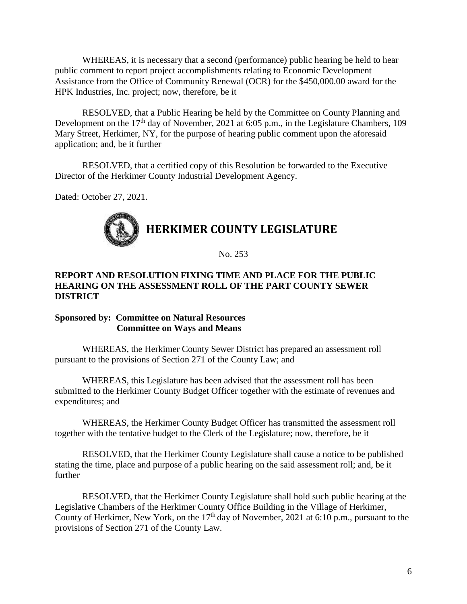WHEREAS, it is necessary that a second (performance) public hearing be held to hear public comment to report project accomplishments relating to Economic Development Assistance from the Office of Community Renewal (OCR) for the \$450,000.00 award for the HPK Industries, Inc. project; now, therefore, be it

RESOLVED, that a Public Hearing be held by the Committee on County Planning and Development on the  $17<sup>th</sup>$  day of November, 2021 at 6:05 p.m., in the Legislature Chambers, 109 Mary Street, Herkimer, NY, for the purpose of hearing public comment upon the aforesaid application; and, be it further

RESOLVED, that a certified copy of this Resolution be forwarded to the Executive Director of the Herkimer County Industrial Development Agency.

Dated: October 27, 2021.

## **HERKIMER COUNTY LEGISLATURE**

No. 253

### **REPORT AND RESOLUTION FIXING TIME AND PLACE FOR THE PUBLIC HEARING ON THE ASSESSMENT ROLL OF THE PART COUNTY SEWER DISTRICT**

### **Sponsored by: Committee on Natural Resources Committee on Ways and Means**

WHEREAS, the Herkimer County Sewer District has prepared an assessment roll pursuant to the provisions of Section 271 of the County Law; and

WHEREAS, this Legislature has been advised that the assessment roll has been submitted to the Herkimer County Budget Officer together with the estimate of revenues and expenditures; and

WHEREAS, the Herkimer County Budget Officer has transmitted the assessment roll together with the tentative budget to the Clerk of the Legislature; now, therefore, be it

RESOLVED, that the Herkimer County Legislature shall cause a notice to be published stating the time, place and purpose of a public hearing on the said assessment roll; and, be it further

RESOLVED, that the Herkimer County Legislature shall hold such public hearing at the Legislative Chambers of the Herkimer County Office Building in the Village of Herkimer, County of Herkimer, New York, on the  $17<sup>th</sup>$  day of November, 2021 at 6:10 p.m., pursuant to the provisions of Section 271 of the County Law.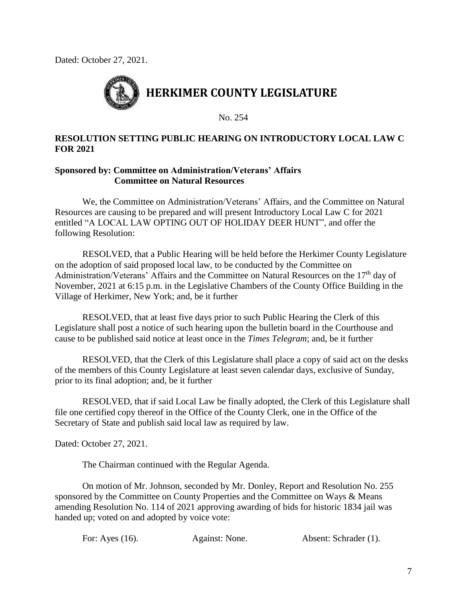Dated: October 27, 2021.



No. 254

### **RESOLUTION SETTING PUBLIC HEARING ON INTRODUCTORY LOCAL LAW C FOR 2021**

### **Sponsored by: Committee on Administration/Veterans' Affairs Committee on Natural Resources**

We, the Committee on Administration/Veterans' Affairs, and the Committee on Natural Resources are causing to be prepared and will present Introductory Local Law C for 2021 entitled "A LOCAL LAW OPTING OUT OF HOLIDAY DEER HUNT", and offer the following Resolution:

RESOLVED, that a Public Hearing will be held before the Herkimer County Legislature on the adoption of said proposed local law, to be conducted by the Committee on Administration/Veterans' Affairs and the Committee on Natural Resources on the  $17<sup>th</sup>$  day of November, 2021 at 6:15 p.m. in the Legislative Chambers of the County Office Building in the Village of Herkimer, New York; and, be it further

RESOLVED, that at least five days prior to such Public Hearing the Clerk of this Legislature shall post a notice of such hearing upon the bulletin board in the Courthouse and cause to be published said notice at least once in the *Times Telegram*; and, be it further

RESOLVED, that the Clerk of this Legislature shall place a copy of said act on the desks of the members of this County Legislature at least seven calendar days, exclusive of Sunday, prior to its final adoption; and, be it further

RESOLVED, that if said Local Law be finally adopted, the Clerk of this Legislature shall file one certified copy thereof in the Office of the County Clerk, one in the Office of the Secretary of State and publish said local law as required by law.

Dated: October 27, 2021.

The Chairman continued with the Regular Agenda.

On motion of Mr. Johnson, seconded by Mr. Donley, Report and Resolution No. 255 sponsored by the Committee on County Properties and the Committee on Ways & Means amending Resolution No. 114 of 2021 approving awarding of bids for historic 1834 jail was handed up; voted on and adopted by voice vote:

For: Ayes (16). Against: None. Absent: Schrader (1).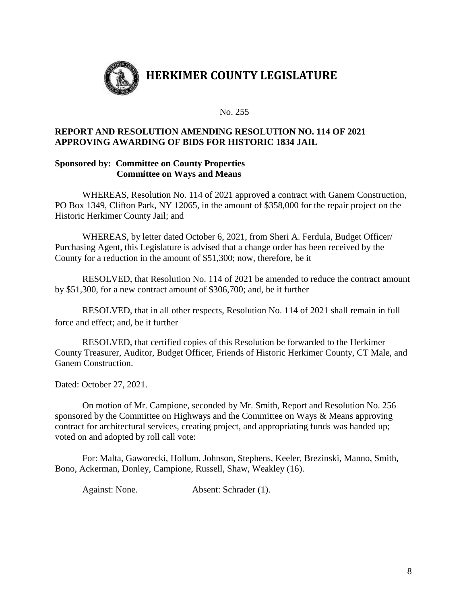

No. 255

### **REPORT AND RESOLUTION AMENDING RESOLUTION NO. 114 OF 2021 APPROVING AWARDING OF BIDS FOR HISTORIC 1834 JAIL**

### **Sponsored by: Committee on County Properties Committee on Ways and Means**

WHEREAS, Resolution No. 114 of 2021 approved a contract with Ganem Construction, PO Box 1349, Clifton Park, NY 12065, in the amount of \$358,000 for the repair project on the Historic Herkimer County Jail; and

WHEREAS, by letter dated October 6, 2021, from Sheri A. Ferdula, Budget Officer/ Purchasing Agent, this Legislature is advised that a change order has been received by the County for a reduction in the amount of \$51,300; now, therefore, be it

RESOLVED, that Resolution No. 114 of 2021 be amended to reduce the contract amount by \$51,300, for a new contract amount of \$306,700; and, be it further

RESOLVED, that in all other respects, Resolution No. 114 of 2021 shall remain in full force and effect; and, be it further

RESOLVED, that certified copies of this Resolution be forwarded to the Herkimer County Treasurer, Auditor, Budget Officer, Friends of Historic Herkimer County, CT Male, and Ganem Construction.

Dated: October 27, 2021.

On motion of Mr. Campione, seconded by Mr. Smith, Report and Resolution No. 256 sponsored by the Committee on Highways and the Committee on Ways & Means approving contract for architectural services, creating project, and appropriating funds was handed up; voted on and adopted by roll call vote:

For: Malta, Gaworecki, Hollum, Johnson, Stephens, Keeler, Brezinski, Manno, Smith, Bono, Ackerman, Donley, Campione, Russell, Shaw, Weakley (16).

Against: None. Absent: Schrader (1).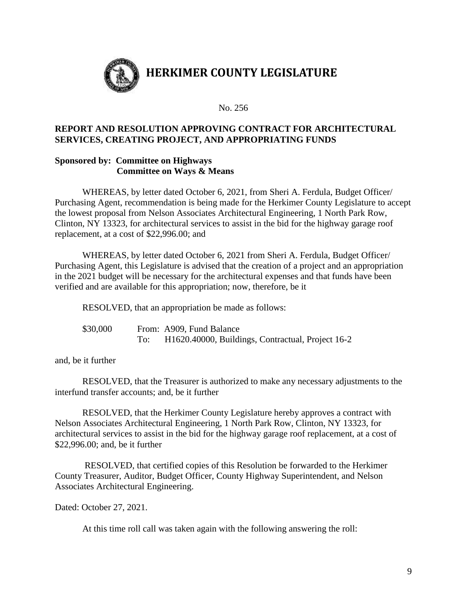

No. 256

### **REPORT AND RESOLUTION APPROVING CONTRACT FOR ARCHITECTURAL SERVICES, CREATING PROJECT, AND APPROPRIATING FUNDS**

### **Sponsored by: Committee on Highways Committee on Ways & Means**

WHEREAS, by letter dated October 6, 2021, from Sheri A. Ferdula, Budget Officer/ Purchasing Agent, recommendation is being made for the Herkimer County Legislature to accept the lowest proposal from Nelson Associates Architectural Engineering, 1 North Park Row, Clinton, NY 13323, for architectural services to assist in the bid for the highway garage roof replacement, at a cost of \$22,996.00; and

WHEREAS, by letter dated October 6, 2021 from Sheri A. Ferdula, Budget Officer/ Purchasing Agent, this Legislature is advised that the creation of a project and an appropriation in the 2021 budget will be necessary for the architectural expenses and that funds have been verified and are available for this appropriation; now, therefore, be it

RESOLVED, that an appropriation be made as follows:

| \$30,000 |     | From: A909, Fund Balance                                       |
|----------|-----|----------------------------------------------------------------|
|          | To: | H <sub>1620</sub> .40000, Buildings, Contractual, Project 16-2 |

and, be it further

RESOLVED, that the Treasurer is authorized to make any necessary adjustments to the interfund transfer accounts; and, be it further

RESOLVED, that the Herkimer County Legislature hereby approves a contract with Nelson Associates Architectural Engineering, 1 North Park Row, Clinton, NY 13323, for architectural services to assist in the bid for the highway garage roof replacement, at a cost of \$22,996.00; and, be it further

RESOLVED, that certified copies of this Resolution be forwarded to the Herkimer County Treasurer, Auditor, Budget Officer, County Highway Superintendent, and Nelson Associates Architectural Engineering.

Dated: October 27, 2021.

At this time roll call was taken again with the following answering the roll: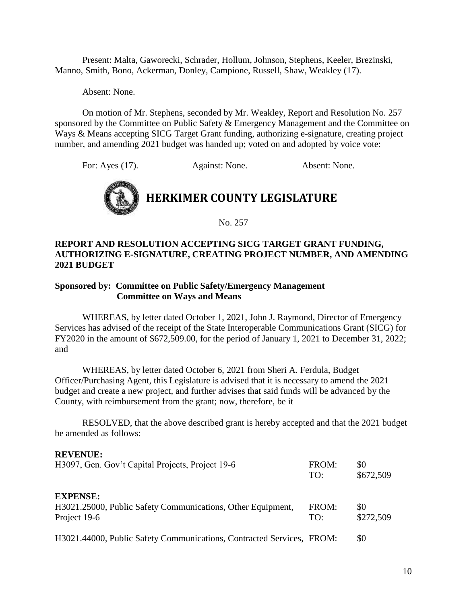Present: Malta, Gaworecki, Schrader, Hollum, Johnson, Stephens, Keeler, Brezinski, Manno, Smith, Bono, Ackerman, Donley, Campione, Russell, Shaw, Weakley (17).

Absent: None.

On motion of Mr. Stephens, seconded by Mr. Weakley, Report and Resolution No. 257 sponsored by the Committee on Public Safety & Emergency Management and the Committee on Ways & Means accepting SICG Target Grant funding, authorizing e-signature, creating project number, and amending 2021 budget was handed up; voted on and adopted by voice vote:

For: Ayes (17). Against: None. Absent: None.



No. 257

### **REPORT AND RESOLUTION ACCEPTING SICG TARGET GRANT FUNDING, AUTHORIZING E-SIGNATURE, CREATING PROJECT NUMBER, AND AMENDING 2021 BUDGET**

### **Sponsored by: Committee on Public Safety/Emergency Management Committee on Ways and Means**

WHEREAS, by letter dated October 1, 2021, John J. Raymond, Director of Emergency Services has advised of the receipt of the State Interoperable Communications Grant (SICG) for FY2020 in the amount of \$672,509.00, for the period of January 1, 2021 to December 31, 2022; and

WHEREAS, by letter dated October 6, 2021 from Sheri A. Ferdula, Budget Officer/Purchasing Agent, this Legislature is advised that it is necessary to amend the 2021 budget and create a new project, and further advises that said funds will be advanced by the County, with reimbursement from the grant; now, therefore, be it

RESOLVED, that the above described grant is hereby accepted and that the 2021 budget be amended as follows:

#### **REVENUE:**

| H3097, Gen. Gov't Capital Projects, Project 19-6                                               | FROM:<br>TO: | \$0<br>\$672,509 |
|------------------------------------------------------------------------------------------------|--------------|------------------|
| <b>EXPENSE:</b><br>H3021.25000, Public Safety Communications, Other Equipment,<br>Project 19-6 | FROM:<br>TO: | \$0<br>\$272,509 |
| H3021.44000, Public Safety Communications, Contracted Services, FROM:                          |              | \$0              |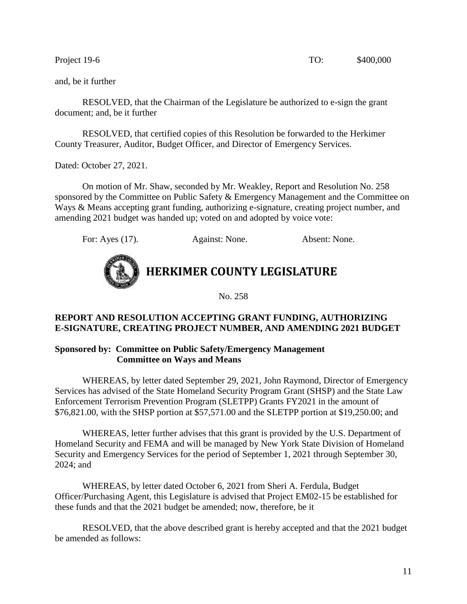RESOLVED, that the Chairman of the Legislature be authorized to e-sign the grant document; and, be it further

RESOLVED, that certified copies of this Resolution be forwarded to the Herkimer County Treasurer, Auditor, Budget Officer, and Director of Emergency Services.

Dated: October 27, 2021.

On motion of Mr. Shaw, seconded by Mr. Weakley, Report and Resolution No. 258 sponsored by the Committee on Public Safety & Emergency Management and the Committee on Ways & Means accepting grant funding, authorizing e-signature, creating project number, and amending 2021 budget was handed up; voted on and adopted by voice vote:

For: Ayes (17). Against: None. Absent: None.



**HERKIMER COUNTY LEGISLATURE**

No. 258

### **REPORT AND RESOLUTION ACCEPTING GRANT FUNDING, AUTHORIZING E-SIGNATURE, CREATING PROJECT NUMBER, AND AMENDING 2021 BUDGET**

### **Sponsored by: Committee on Public Safety/Emergency Management Committee on Ways and Means**

WHEREAS, by letter dated September 29, 2021, John Raymond, Director of Emergency Services has advised of the State Homeland Security Program Grant (SHSP) and the State Law Enforcement Terrorism Prevention Program (SLETPP) Grants FY2021 in the amount of \$76,821.00, with the SHSP portion at \$57,571.00 and the SLETPP portion at \$19,250.00; and

WHEREAS, letter further advises that this grant is provided by the U.S. Department of Homeland Security and FEMA and will be managed by New York State Division of Homeland Security and Emergency Services for the period of September 1, 2021 through September 30, 2024; and

WHEREAS, by letter dated October 6, 2021 from Sheri A. Ferdula, Budget Officer/Purchasing Agent, this Legislature is advised that Project EM02-15 be established for these funds and that the 2021 budget be amended; now, therefore, be it

RESOLVED, that the above described grant is hereby accepted and that the 2021 budget be amended as follows: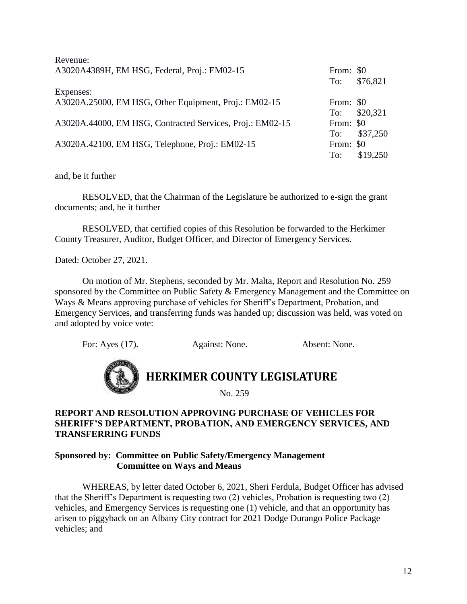| Revenue:                                                  |           |              |
|-----------------------------------------------------------|-----------|--------------|
| A3020A4389H, EM HSG, Federal, Proj.: EM02-15              | From: \$0 |              |
|                                                           | To:       | \$76,821     |
| Expenses:                                                 |           |              |
| A3020A.25000, EM HSG, Other Equipment, Proj.: EM02-15     | From: \$0 |              |
|                                                           |           | To: \$20,321 |
| A3020A.44000, EM HSG, Contracted Services, Proj.: EM02-15 | From: \$0 |              |
|                                                           |           | To: \$37,250 |
| A3020A.42100, EM HSG, Telephone, Proj.: EM02-15           | From: \$0 |              |
|                                                           | To:       | \$19,250     |

RESOLVED, that the Chairman of the Legislature be authorized to e-sign the grant documents; and, be it further

RESOLVED, that certified copies of this Resolution be forwarded to the Herkimer County Treasurer, Auditor, Budget Officer, and Director of Emergency Services.

Dated: October 27, 2021.

On motion of Mr. Stephens, seconded by Mr. Malta, Report and Resolution No. 259 sponsored by the Committee on Public Safety & Emergency Management and the Committee on Ways & Means approving purchase of vehicles for Sheriff's Department, Probation, and Emergency Services, and transferring funds was handed up; discussion was held, was voted on and adopted by voice vote:

For: Ayes (17). Against: None. Absent: None.



### **REPORT AND RESOLUTION APPROVING PURCHASE OF VEHICLES FOR SHERIFF'S DEPARTMENT, PROBATION, AND EMERGENCY SERVICES, AND TRANSFERRING FUNDS**

### **Sponsored by: Committee on Public Safety/Emergency Management Committee on Ways and Means**

WHEREAS, by letter dated October 6, 2021, Sheri Ferdula, Budget Officer has advised that the Sheriff's Department is requesting two (2) vehicles, Probation is requesting two (2) vehicles, and Emergency Services is requesting one (1) vehicle, and that an opportunity has arisen to piggyback on an Albany City contract for 2021 Dodge Durango Police Package vehicles; and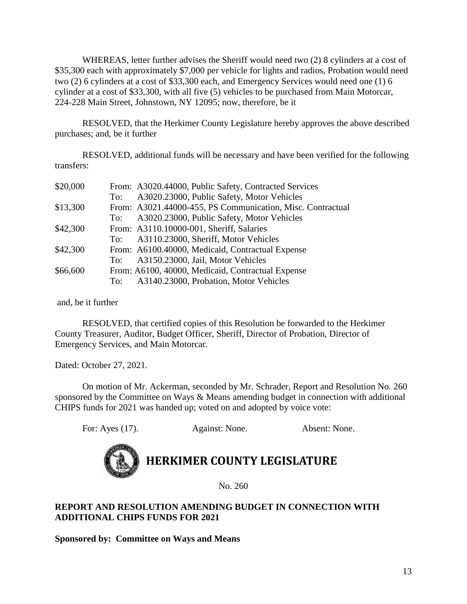WHEREAS, letter further advises the Sheriff would need two (2) 8 cylinders at a cost of \$35,300 each with approximately \$7,000 per vehicle for lights and radios, Probation would need two (2) 6 cylinders at a cost of \$33,300 each, and Emergency Services would need one (1) 6 cylinder at a cost of \$33,300, with all five (5) vehicles to be purchased from Main Motorcar, 224-228 Main Street, Johnstown, NY 12095; now, therefore, be it

RESOLVED, that the Herkimer County Legislature hereby approves the above described purchases; and, be it further

RESOLVED, additional funds will be necessary and have been verified for the following transfers:

|     | From: A3020.44000, Public Safety, Contracted Services      |
|-----|------------------------------------------------------------|
| To: | A3020.23000, Public Safety, Motor Vehicles                 |
|     | From: A3021.44000-455, PS Communication, Misc. Contractual |
| To: | A3020.23000, Public Safety, Motor Vehicles                 |
|     | From: A3110.10000-001, Sheriff, Salaries                   |
| To: | A3110.23000, Sheriff, Motor Vehicles                       |
|     | From: A6100.40000, Medicaid, Contractual Expense           |
|     | To: A3150.23000, Jail, Motor Vehicles                      |
|     | From: A6100, 40000, Medicaid, Contractual Expense          |
|     | To: A3140.23000, Probation, Motor Vehicles                 |
|     |                                                            |

and, be it further

RESOLVED, that certified copies of this Resolution be forwarded to the Herkimer County Treasurer, Auditor, Budget Officer, Sheriff, Director of Probation, Director of Emergency Services, and Main Motorcar.

Dated: October 27, 2021.

On motion of Mr. Ackerman, seconded by Mr. Schrader, Report and Resolution No. 260 sponsored by the Committee on Ways & Means amending budget in connection with additional CHIPS funds for 2021 was handed up; voted on and adopted by voice vote:

For: Ayes (17). Against: None. Absent: None.



### **HERKIMER COUNTY LEGISLATURE**

No. 260

### **REPORT AND RESOLUTION AMENDING BUDGET IN CONNECTION WITH ADDITIONAL CHIPS FUNDS FOR 2021**

**Sponsored by: Committee on Ways and Means**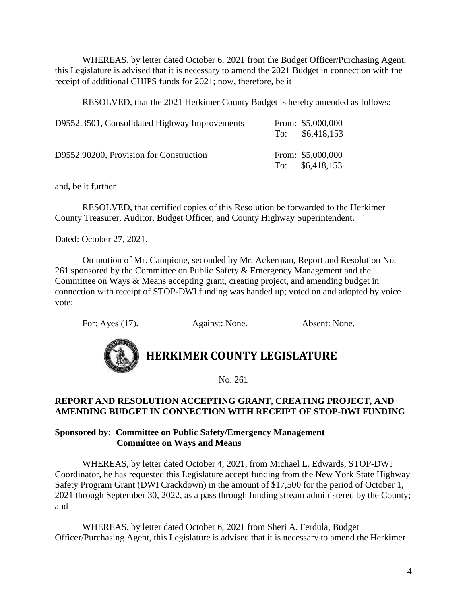WHEREAS, by letter dated October 6, 2021 from the Budget Officer/Purchasing Agent, this Legislature is advised that it is necessary to amend the 2021 Budget in connection with the receipt of additional CHIPS funds for 2021; now, therefore, be it

RESOLVED, that the 2021 Herkimer County Budget is hereby amended as follows:

| D9552.3501, Consolidated Highway Improvements | From: \$5,000,000<br>To: $$6,418,153$ |
|-----------------------------------------------|---------------------------------------|
| D9552.90200, Provision for Construction       | From: \$5,000,000<br>To: $$6,418,153$ |

and, be it further

RESOLVED, that certified copies of this Resolution be forwarded to the Herkimer County Treasurer, Auditor, Budget Officer, and County Highway Superintendent.

Dated: October 27, 2021.

On motion of Mr. Campione, seconded by Mr. Ackerman, Report and Resolution No. 261 sponsored by the Committee on Public Safety & Emergency Management and the Committee on Ways & Means accepting grant, creating project, and amending budget in connection with receipt of STOP-DWI funding was handed up; voted on and adopted by voice vote:

For: Ayes (17). Against: None. Absent: None.



### **HERKIMER COUNTY LEGISLATURE**

No. 261

### **REPORT AND RESOLUTION ACCEPTING GRANT, CREATING PROJECT, AND AMENDING BUDGET IN CONNECTION WITH RECEIPT OF STOP-DWI FUNDING**

### **Sponsored by: Committee on Public Safety/Emergency Management Committee on Ways and Means**

WHEREAS, by letter dated October 4, 2021, from Michael L. Edwards, STOP-DWI Coordinator, he has requested this Legislature accept funding from the New York State Highway Safety Program Grant (DWI Crackdown) in the amount of \$17,500 for the period of October 1, 2021 through September 30, 2022, as a pass through funding stream administered by the County; and

WHEREAS, by letter dated October 6, 2021 from Sheri A. Ferdula, Budget Officer/Purchasing Agent, this Legislature is advised that it is necessary to amend the Herkimer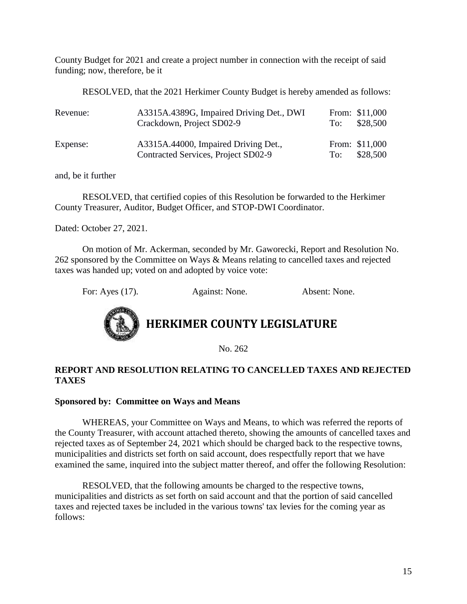County Budget for 2021 and create a project number in connection with the receipt of said funding; now, therefore, be it

RESOLVED, that the 2021 Herkimer County Budget is hereby amended as follows:

| Revenue: | A3315A.4389G, Impaired Driving Det., DWI<br>Crackdown, Project SD02-9       | To: | From: \$11,000<br>\$28,500 |
|----------|-----------------------------------------------------------------------------|-----|----------------------------|
| Expense: | A3315A.44000, Impaired Driving Det.,<br>Contracted Services, Project SD02-9 | To: | From: \$11,000<br>\$28,500 |

and, be it further

RESOLVED, that certified copies of this Resolution be forwarded to the Herkimer County Treasurer, Auditor, Budget Officer, and STOP-DWI Coordinator.

Dated: October 27, 2021.

On motion of Mr. Ackerman, seconded by Mr. Gaworecki, Report and Resolution No. 262 sponsored by the Committee on Ways & Means relating to cancelled taxes and rejected taxes was handed up; voted on and adopted by voice vote:

For: Ayes (17). Against: None. Absent: None.



### **HERKIMER COUNTY LEGISLATURE**

No. 262

### **REPORT AND RESOLUTION RELATING TO CANCELLED TAXES AND REJECTED TAXES**

### **Sponsored by: Committee on Ways and Means**

WHEREAS, your Committee on Ways and Means, to which was referred the reports of the County Treasurer, with account attached thereto, showing the amounts of cancelled taxes and rejected taxes as of September 24, 2021 which should be charged back to the respective towns, municipalities and districts set forth on said account, does respectfully report that we have examined the same, inquired into the subject matter thereof, and offer the following Resolution:

RESOLVED, that the following amounts be charged to the respective towns, municipalities and districts as set forth on said account and that the portion of said cancelled taxes and rejected taxes be included in the various towns' tax levies for the coming year as follows: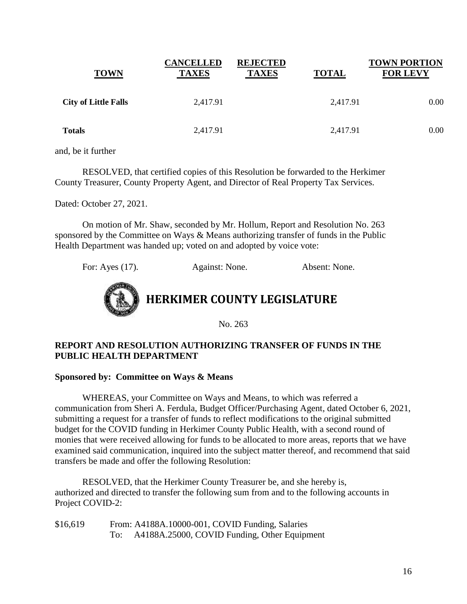| <b>TOWN</b>                 | <b>CANCELLED</b><br><b>TAXES</b> | <b>REJECTED</b><br><b>TAXES</b> | <b>TOTAL</b> | <b>TOWN PORTION</b><br><b>FOR LEVY</b> |
|-----------------------------|----------------------------------|---------------------------------|--------------|----------------------------------------|
| <b>City of Little Falls</b> | 2,417.91                         |                                 | 2,417.91     | 0.00                                   |
| <b>Totals</b>               | 2,417.91                         |                                 | 2,417.91     | 0.00                                   |

RESOLVED, that certified copies of this Resolution be forwarded to the Herkimer County Treasurer, County Property Agent, and Director of Real Property Tax Services.

Dated: October 27, 2021.

On motion of Mr. Shaw, seconded by Mr. Hollum, Report and Resolution No. 263 sponsored by the Committee on Ways & Means authorizing transfer of funds in the Public Health Department was handed up; voted on and adopted by voice vote:

For: Ayes (17). Against: None. Absent: None.



No. 263

### **REPORT AND RESOLUTION AUTHORIZING TRANSFER OF FUNDS IN THE PUBLIC HEALTH DEPARTMENT**

### **Sponsored by: Committee on Ways & Means**

WHEREAS, your Committee on Ways and Means, to which was referred a communication from Sheri A. Ferdula, Budget Officer/Purchasing Agent, dated October 6, 2021, submitting a request for a transfer of funds to reflect modifications to the original submitted budget for the COVID funding in Herkimer County Public Health, with a second round of monies that were received allowing for funds to be allocated to more areas, reports that we have examined said communication, inquired into the subject matter thereof, and recommend that said transfers be made and offer the following Resolution:

RESOLVED, that the Herkimer County Treasurer be, and she hereby is, authorized and directed to transfer the following sum from and to the following accounts in Project COVID-2:

\$16,619 From: A4188A.10000-001, COVID Funding, Salaries To: A4188A.25000, COVID Funding, Other Equipment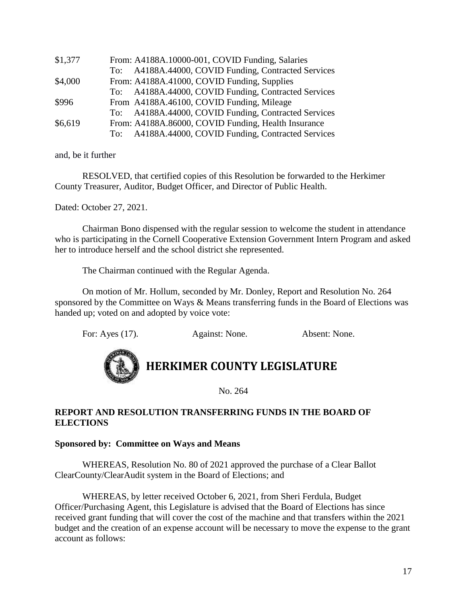| \$1,377 | From: A4188A.10000-001, COVID Funding, Salaries      |
|---------|------------------------------------------------------|
|         | To: A4188A.44000, COVID Funding, Contracted Services |
| \$4,000 | From: A4188A.41000, COVID Funding, Supplies          |
|         | To: A4188A.44000, COVID Funding, Contracted Services |
| \$996   | From A4188A.46100, COVID Funding, Mileage            |
|         | To: A4188A.44000, COVID Funding, Contracted Services |
| \$6,619 | From: A4188A.86000, COVID Funding, Health Insurance  |
|         | To: A4188A.44000, COVID Funding, Contracted Services |

RESOLVED, that certified copies of this Resolution be forwarded to the Herkimer County Treasurer, Auditor, Budget Officer, and Director of Public Health.

Dated: October 27, 2021.

Chairman Bono dispensed with the regular session to welcome the student in attendance who is participating in the Cornell Cooperative Extension Government Intern Program and asked her to introduce herself and the school district she represented.

The Chairman continued with the Regular Agenda.

On motion of Mr. Hollum, seconded by Mr. Donley, Report and Resolution No. 264 sponsored by the Committee on Ways & Means transferring funds in the Board of Elections was handed up; voted on and adopted by voice vote:

For: Ayes (17). Against: None. Absent: None.



### **HERKIMER COUNTY LEGISLATURE**

No. 264

### **REPORT AND RESOLUTION TRANSFERRING FUNDS IN THE BOARD OF ELECTIONS**

### **Sponsored by: Committee on Ways and Means**

WHEREAS, Resolution No. 80 of 2021 approved the purchase of a Clear Ballot ClearCounty/ClearAudit system in the Board of Elections; and

WHEREAS, by letter received October 6, 2021, from Sheri Ferdula, Budget Officer/Purchasing Agent, this Legislature is advised that the Board of Elections has since received grant funding that will cover the cost of the machine and that transfers within the 2021 budget and the creation of an expense account will be necessary to move the expense to the grant account as follows: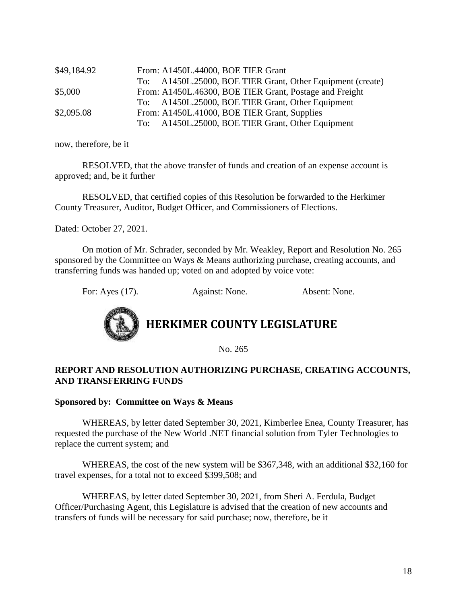| \$49,184.92 | From: A1450L.44000, BOE TIER Grant                         |
|-------------|------------------------------------------------------------|
|             | To: A1450L.25000, BOE TIER Grant, Other Equipment (create) |
| \$5,000     | From: A1450L.46300, BOE TIER Grant, Postage and Freight    |
|             | To: A1450L.25000, BOE TIER Grant, Other Equipment          |
| \$2,095.08  | From: A1450L.41000, BOE TIER Grant, Supplies               |
|             | To: A1450L.25000, BOE TIER Grant, Other Equipment          |

now, therefore, be it

RESOLVED, that the above transfer of funds and creation of an expense account is approved; and, be it further

RESOLVED, that certified copies of this Resolution be forwarded to the Herkimer County Treasurer, Auditor, Budget Officer, and Commissioners of Elections.

Dated: October 27, 2021.

On motion of Mr. Schrader, seconded by Mr. Weakley, Report and Resolution No. 265 sponsored by the Committee on Ways & Means authorizing purchase, creating accounts, and transferring funds was handed up; voted on and adopted by voice vote:

For: Ayes (17). Against: None. Absent: None.



**HERKIMER COUNTY LEGISLATURE**

No. 265

### **REPORT AND RESOLUTION AUTHORIZING PURCHASE, CREATING ACCOUNTS, AND TRANSFERRING FUNDS**

### **Sponsored by: Committee on Ways & Means**

WHEREAS, by letter dated September 30, 2021, Kimberlee Enea, County Treasurer, has requested the purchase of the New World .NET financial solution from Tyler Technologies to replace the current system; and

WHEREAS, the cost of the new system will be \$367,348, with an additional \$32,160 for travel expenses, for a total not to exceed \$399,508; and

WHEREAS, by letter dated September 30, 2021, from Sheri A. Ferdula, Budget Officer/Purchasing Agent, this Legislature is advised that the creation of new accounts and transfers of funds will be necessary for said purchase; now, therefore, be it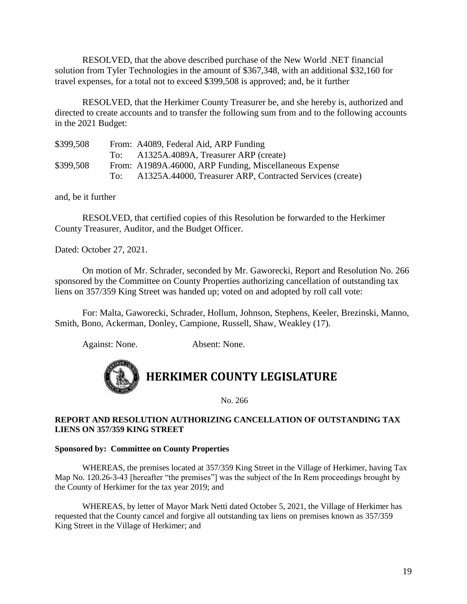RESOLVED, that the above described purchase of the New World .NET financial solution from Tyler Technologies in the amount of \$367,348, with an additional \$32,160 for travel expenses, for a total not to exceed \$399,508 is approved; and, be it further

RESOLVED, that the Herkimer County Treasurer be, and she hereby is, authorized and directed to create accounts and to transfer the following sum from and to the following accounts in the 2021 Budget:

| \$399,508 |     | From: A4089, Federal Aid, ARP Funding                     |
|-----------|-----|-----------------------------------------------------------|
|           | To: | A1325A.4089A, Treasurer ARP (create)                      |
| \$399,508 |     | From: A1989A.46000, ARP Funding, Miscellaneous Expense    |
|           | To: | A1325A.44000, Treasurer ARP, Contracted Services (create) |

and, be it further

RESOLVED, that certified copies of this Resolution be forwarded to the Herkimer County Treasurer, Auditor, and the Budget Officer.

Dated: October 27, 2021.

On motion of Mr. Schrader, seconded by Mr. Gaworecki, Report and Resolution No. 266 sponsored by the Committee on County Properties authorizing cancellation of outstanding tax liens on 357/359 King Street was handed up; voted on and adopted by roll call vote:

For: Malta, Gaworecki, Schrader, Hollum, Johnson, Stephens, Keeler, Brezinski, Manno, Smith, Bono, Ackerman, Donley, Campione, Russell, Shaw, Weakley (17).

Against: None. Absent: None.



No. 266

### **REPORT AND RESOLUTION AUTHORIZING CANCELLATION OF OUTSTANDING TAX LIENS ON 357/359 KING STREET**

#### **Sponsored by: Committee on County Properties**

WHEREAS, the premises located at 357/359 King Street in the Village of Herkimer, having Tax Map No. 120.26-3-43 [hereafter "the premises"] was the subject of the In Rem proceedings brought by the County of Herkimer for the tax year 2019; and

WHEREAS, by letter of Mayor Mark Netti dated October 5, 2021, the Village of Herkimer has requested that the County cancel and forgive all outstanding tax liens on premises known as 357/359 King Street in the Village of Herkimer; and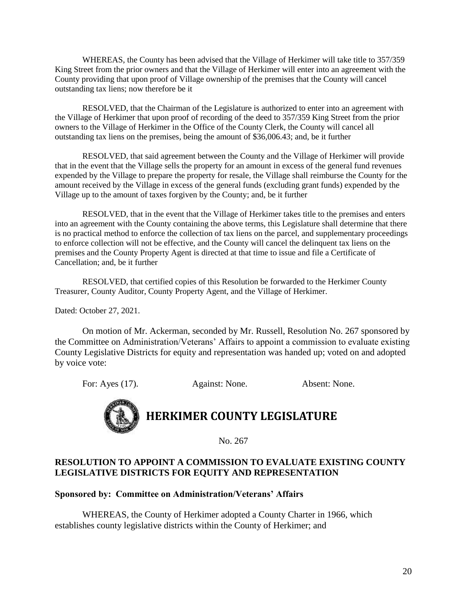WHEREAS, the County has been advised that the Village of Herkimer will take title to 357/359 King Street from the prior owners and that the Village of Herkimer will enter into an agreement with the County providing that upon proof of Village ownership of the premises that the County will cancel outstanding tax liens; now therefore be it

RESOLVED, that the Chairman of the Legislature is authorized to enter into an agreement with the Village of Herkimer that upon proof of recording of the deed to 357/359 King Street from the prior owners to the Village of Herkimer in the Office of the County Clerk, the County will cancel all outstanding tax liens on the premises, being the amount of \$36,006.43; and, be it further

RESOLVED, that said agreement between the County and the Village of Herkimer will provide that in the event that the Village sells the property for an amount in excess of the general fund revenues expended by the Village to prepare the property for resale, the Village shall reimburse the County for the amount received by the Village in excess of the general funds (excluding grant funds) expended by the Village up to the amount of taxes forgiven by the County; and, be it further

RESOLVED, that in the event that the Village of Herkimer takes title to the premises and enters into an agreement with the County containing the above terms, this Legislature shall determine that there is no practical method to enforce the collection of tax liens on the parcel, and supplementary proceedings to enforce collection will not be effective, and the County will cancel the delinquent tax liens on the premises and the County Property Agent is directed at that time to issue and file a Certificate of Cancellation; and, be it further

RESOLVED, that certified copies of this Resolution be forwarded to the Herkimer County Treasurer, County Auditor, County Property Agent, and the Village of Herkimer.

Dated: October 27, 2021.

On motion of Mr. Ackerman, seconded by Mr. Russell, Resolution No. 267 sponsored by the Committee on Administration/Veterans' Affairs to appoint a commission to evaluate existing County Legislative Districts for equity and representation was handed up; voted on and adopted by voice vote:

For: Ayes (17). Against: None. Absent: None.



No. 267

### **RESOLUTION TO APPOINT A COMMISSION TO EVALUATE EXISTING COUNTY LEGISLATIVE DISTRICTS FOR EQUITY AND REPRESENTATION**

### **Sponsored by: Committee on Administration/Veterans' Affairs**

WHEREAS, the County of Herkimer adopted a County Charter in 1966, which establishes county legislative districts within the County of Herkimer; and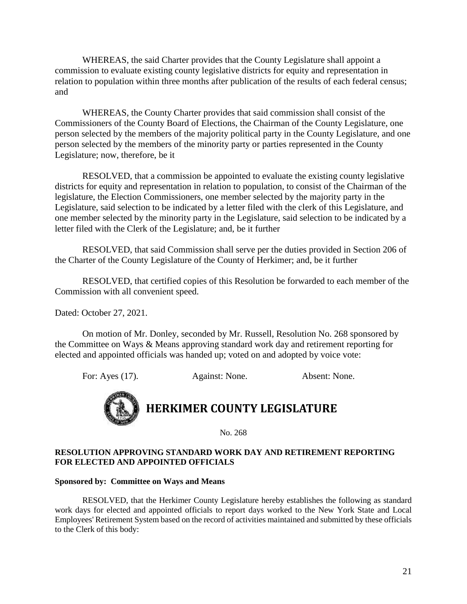WHEREAS, the said Charter provides that the County Legislature shall appoint a commission to evaluate existing county legislative districts for equity and representation in relation to population within three months after publication of the results of each federal census; and

WHEREAS, the County Charter provides that said commission shall consist of the Commissioners of the County Board of Elections, the Chairman of the County Legislature, one person selected by the members of the majority political party in the County Legislature, and one person selected by the members of the minority party or parties represented in the County Legislature; now, therefore, be it

RESOLVED, that a commission be appointed to evaluate the existing county legislative districts for equity and representation in relation to population, to consist of the Chairman of the legislature, the Election Commissioners, one member selected by the majority party in the Legislature, said selection to be indicated by a letter filed with the clerk of this Legislature, and one member selected by the minority party in the Legislature, said selection to be indicated by a letter filed with the Clerk of the Legislature; and, be it further

RESOLVED, that said Commission shall serve per the duties provided in Section 206 of the Charter of the County Legislature of the County of Herkimer; and, be it further

RESOLVED, that certified copies of this Resolution be forwarded to each member of the Commission with all convenient speed.

Dated: October 27, 2021.

On motion of Mr. Donley, seconded by Mr. Russell, Resolution No. 268 sponsored by the Committee on Ways & Means approving standard work day and retirement reporting for elected and appointed officials was handed up; voted on and adopted by voice vote:

For: Ayes (17). Against: None. Absent: None.



No. 268

#### **RESOLUTION APPROVING STANDARD WORK DAY AND RETIREMENT REPORTING FOR ELECTED AND APPOINTED OFFICIALS**

#### **Sponsored by: Committee on Ways and Means**

RESOLVED, that the Herkimer County Legislature hereby establishes the following as standard work days for elected and appointed officials to report days worked to the New York State and Local Employees' Retirement System based on the record of activities maintained and submitted by these officials to the Clerk of this body: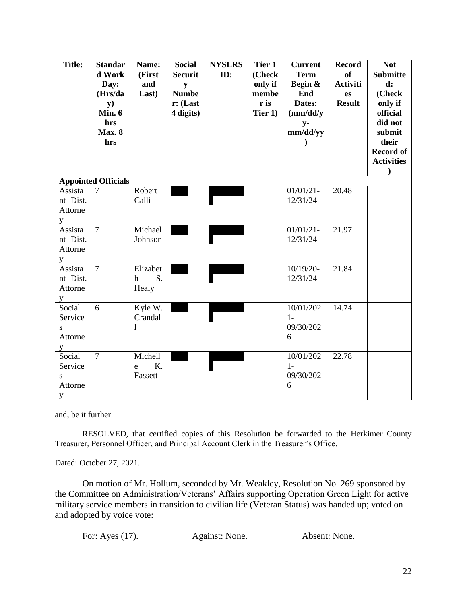| <b>Title:</b>                          | <b>Standar</b><br>d Work<br>Day:<br>(Hrs/da<br>y)<br>Min. 6<br>hrs<br><b>Max. 8</b><br>hrs | Name:<br>(First<br>and<br>Last)         | <b>Social</b><br><b>Securit</b><br>${\bf y}$<br><b>Numbe</b><br>$r:$ (Last<br>4 digits) | <b>NYSLRS</b><br>ID: | Tier 1<br>(Check<br>only if<br>membe<br>r is<br>Tier 1) | <b>Current</b><br><b>Term</b><br>Begin &<br>End<br>Dates:<br>(mm/dd/y)<br>$y-$<br>mm/dd/yy | <b>Record</b><br><b>of</b><br>Activiti<br>es<br><b>Result</b> | <b>Not</b><br><b>Submitte</b><br>$\mathbf{d}$ :<br>(Check<br>only if<br>official<br>did not<br>submit<br>their<br><b>Record of</b><br><b>Activities</b><br>$\lambda$ |
|----------------------------------------|--------------------------------------------------------------------------------------------|-----------------------------------------|-----------------------------------------------------------------------------------------|----------------------|---------------------------------------------------------|--------------------------------------------------------------------------------------------|---------------------------------------------------------------|----------------------------------------------------------------------------------------------------------------------------------------------------------------------|
|                                        | <b>Appointed Officials</b>                                                                 |                                         |                                                                                         |                      |                                                         |                                                                                            |                                                               |                                                                                                                                                                      |
| Assista<br>nt Dist.<br>Attorne<br>y    | $\overline{7}$                                                                             | Robert<br>Calli                         |                                                                                         |                      |                                                         | $01/01/21 -$<br>12/31/24                                                                   | 20.48                                                         |                                                                                                                                                                      |
| Assista<br>nt Dist.<br>Attorne<br>y    | $\overline{7}$                                                                             | Michael<br>Johnson                      |                                                                                         |                      |                                                         | $01/01/21 -$<br>12/31/24                                                                   | 21.97                                                         |                                                                                                                                                                      |
| Assista<br>nt Dist.<br>Attorne<br>y    | $\overline{7}$                                                                             | Elizabet<br>S.<br>$\mathbf{h}$<br>Healy |                                                                                         |                      |                                                         | 10/19/20-<br>12/31/24                                                                      | 21.84                                                         |                                                                                                                                                                      |
| Social<br>Service<br>S<br>Attorne<br>y | 6                                                                                          | Kyle W.<br>Crandal                      |                                                                                         |                      |                                                         | 10/01/202<br>$1-$<br>09/30/202<br>6                                                        | 14.74                                                         |                                                                                                                                                                      |
| Social<br>Service<br>S<br>Attorne<br>y | $\overline{7}$                                                                             | Michell<br>K.<br>e<br>Fassett           |                                                                                         |                      |                                                         | 10/01/202<br>$1-$<br>09/30/202<br>6                                                        | 22.78                                                         |                                                                                                                                                                      |

RESOLVED, that certified copies of this Resolution be forwarded to the Herkimer County Treasurer, Personnel Officer, and Principal Account Clerk in the Treasurer's Office.

Dated: October 27, 2021.

On motion of Mr. Hollum, seconded by Mr. Weakley, Resolution No. 269 sponsored by the Committee on Administration/Veterans' Affairs supporting Operation Green Light for active military service members in transition to civilian life (Veteran Status) was handed up; voted on and adopted by voice vote:

| For: Ayes (17). | Against: None. | Absent: None. |
|-----------------|----------------|---------------|
|-----------------|----------------|---------------|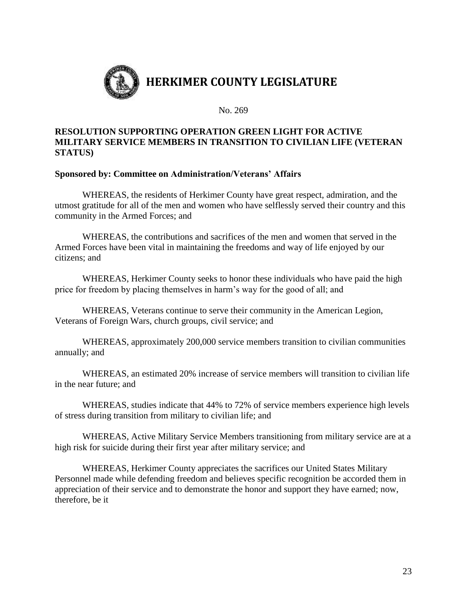

No. 269

### **RESOLUTION SUPPORTING OPERATION GREEN LIGHT FOR ACTIVE MILITARY SERVICE MEMBERS IN TRANSITION TO CIVILIAN LIFE (VETERAN STATUS)**

### **Sponsored by: Committee on Administration/Veterans' Affairs**

WHEREAS, the residents of Herkimer County have great respect, admiration, and the utmost gratitude for all of the men and women who have selflessly served their country and this community in the Armed Forces; and

WHEREAS, the contributions and sacrifices of the men and women that served in the Armed Forces have been vital in maintaining the freedoms and way of life enjoyed by our citizens; and

WHEREAS, Herkimer County seeks to honor these individuals who have paid the high price for freedom by placing themselves in harm's way for the good of all; and

WHEREAS, Veterans continue to serve their community in the American Legion, Veterans of Foreign Wars, church groups, civil service; and

WHEREAS, approximately 200,000 service members transition to civilian communities annually; and

WHEREAS, an estimated 20% increase of service members will transition to civilian life in the near future; and

WHEREAS, studies indicate that 44% to 72% of service members experience high levels of stress during transition from military to civilian life; and

WHEREAS, Active Military Service Members transitioning from military service are at a high risk for suicide during their first year after military service; and

WHEREAS, Herkimer County appreciates the sacrifices our United States Military Personnel made while defending freedom and believes specific recognition be accorded them in appreciation of their service and to demonstrate the honor and support they have earned; now, therefore, be it